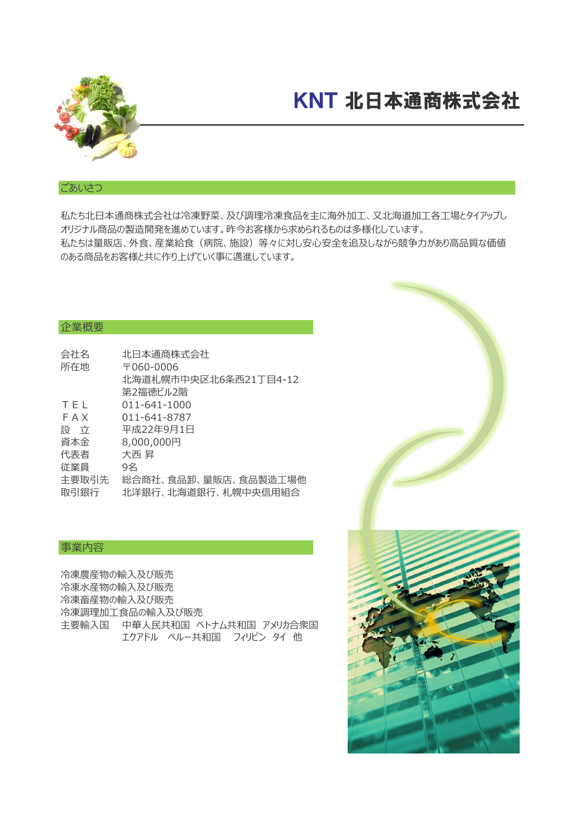

## KNT 北日本通商株式会社

### ごあいさつ

私たち北日本通商株式会社は冷凍野菜、及び調理冷凍食品を主に海外加工、又北海道加工各工場とタイアップし オリジナル商品の製造開発を進めています。昨今お客様から求められるものは多様化しています。 私たちは量販店、外食、産業給食(病院、施設)等々に対し安心安全を追及しながら競争力があり高品質な価値 のある商品をお客様と共に作り上げていく事に邁進しています。

### 企業概要

| 北海道札幌市中央区北6条西21丁目4-12                       |
|---------------------------------------------|
|                                             |
|                                             |
|                                             |
|                                             |
|                                             |
|                                             |
|                                             |
| 総合商社、食品卸、量販店、食品製造工場他<br>北洋銀行、北海道銀行、札幌中央信用組合 |
|                                             |

### 事業内容

冷凍農産物の輸入及び販売 冷凍水産物の輸入及び販売 冷凍畜産物の輸入及び販売 冷凍調理加工食品の輸入及び販売 主要輸入国 中華人民共和国 ベトナム共和国 アメリカ合衆国 エクアドル ペルー共和国 フィリピン タイ 他